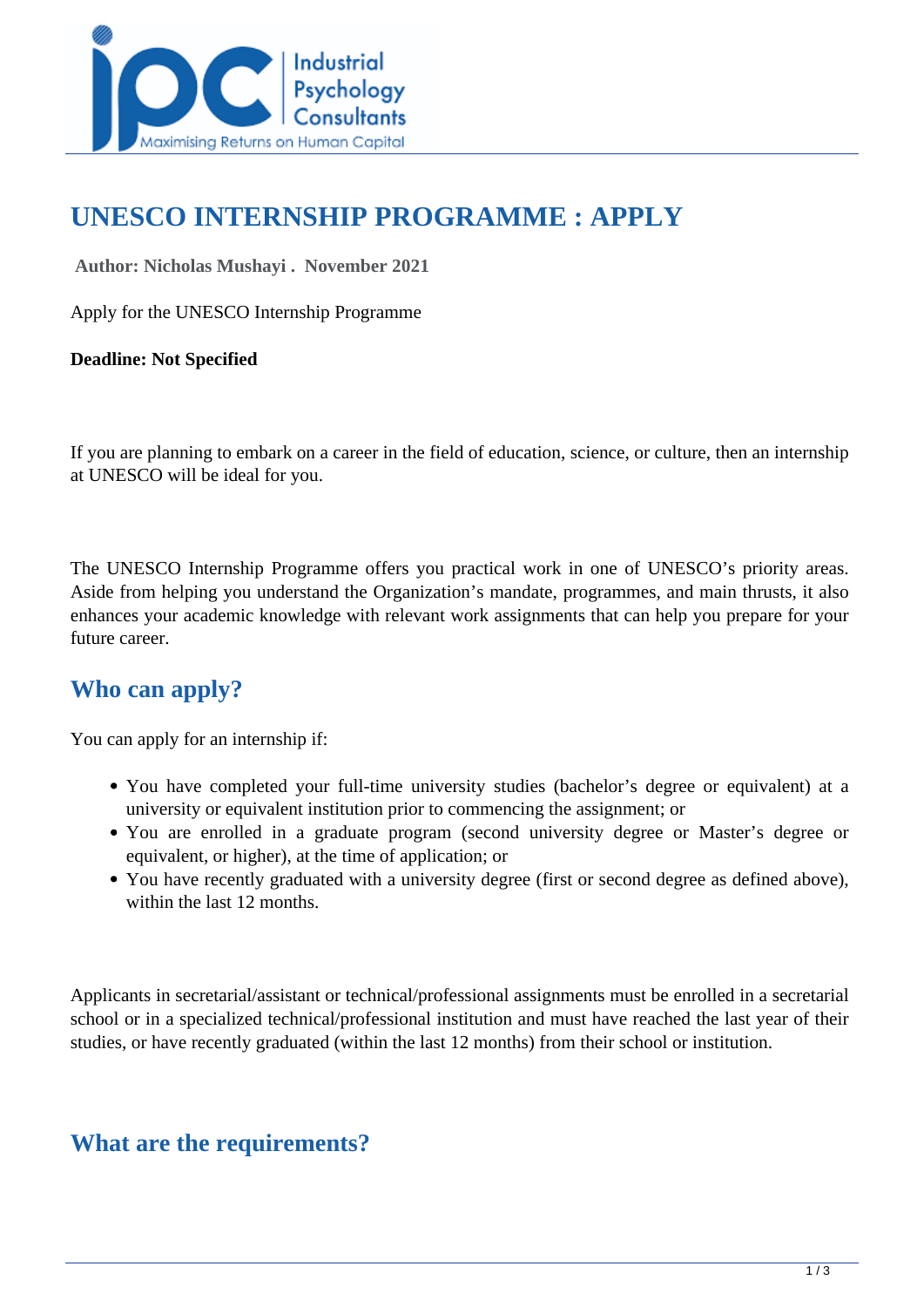

# **UNESCO INTERNSHIP PROGRAMME : APPLY**

 **Author: Nicholas Mushayi . November 2021** 

Apply for the UNESCO Internship Programme

**Deadline: Not Specified**

If you are planning to embark on a career in the field of education, science, or culture, then an internship at UNESCO will be ideal for you.

The UNESCO Internship Programme offers you practical work in one of UNESCO's priority areas. Aside from helping you understand the Organization's mandate, programmes, and main thrusts, it also enhances your academic knowledge with relevant work assignments that can help you prepare for your future career.

#### **Who can apply?**

You can apply for an internship if:

- You have completed your full-time university studies (bachelor's degree or equivalent) at a university or equivalent institution prior to commencing the assignment; or
- You are enrolled in a graduate program (second university degree or Master's degree or equivalent, or higher), at the time of application; or
- You have recently graduated with a university degree (first or second degree as defined above), within the last 12 months.

Applicants in secretarial/assistant or technical/professional assignments must be enrolled in a secretarial school or in a specialized technical/professional institution and must have reached the last year of their studies, or have recently graduated (within the last 12 months) from their school or institution.

#### **What are the requirements?**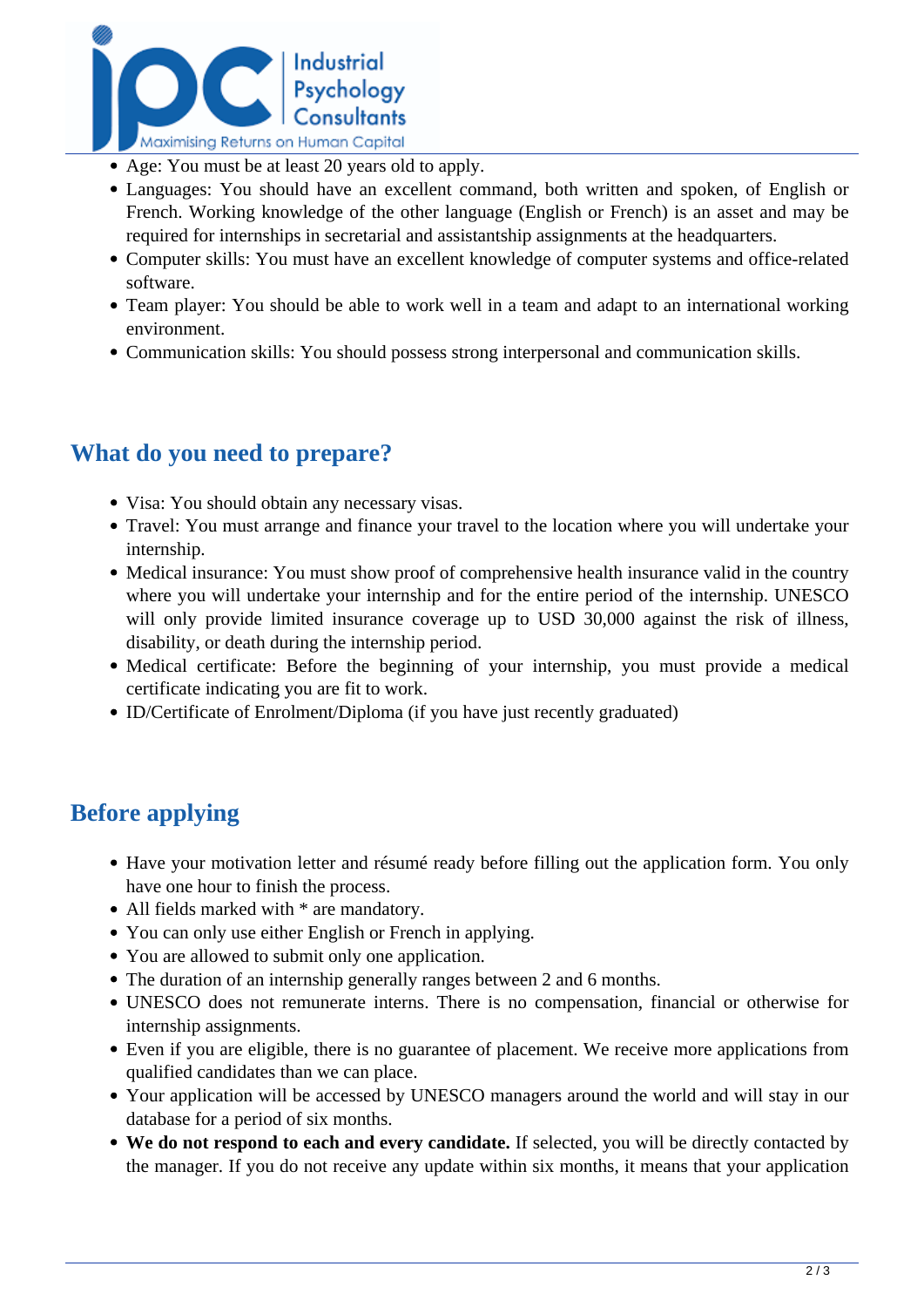

- Age: You must be at least 20 years old to apply.
- Languages: You should have an excellent command, both written and spoken, of English or French. Working knowledge of the other language (English or French) is an asset and may be required for internships in secretarial and assistantship assignments at the headquarters.
- Computer skills: You must have an excellent knowledge of computer systems and office-related software.
- Team player: You should be able to work well in a team and adapt to an international working environment.
- Communication skills: You should possess strong interpersonal and communication skills.

#### **What do you need to prepare?**

- Visa: You should obtain any necessary visas.
- Travel: You must arrange and finance your travel to the location where you will undertake your internship.
- Medical insurance: You must show proof of comprehensive health insurance valid in the country where you will undertake your internship and for the entire period of the internship. UNESCO will only provide limited insurance coverage up to USD 30,000 against the risk of illness, disability, or death during the internship period.
- Medical certificate: Before the beginning of your internship, you must provide a medical certificate indicating you are fit to work.
- ID/Certificate of Enrolment/Diploma (if you have just recently graduated)

### **Before applying**

- Have your motivation letter and résumé ready before filling out the application form. You only have one hour to finish the process.
- All fields marked with  $*$  are mandatory.
- You can only use either English or French in applying.
- You are allowed to submit only one application.
- The duration of an internship generally ranges between 2 and 6 months.
- UNESCO does not remunerate interns. There is no compensation, financial or otherwise for internship assignments.
- Even if you are eligible, there is no guarantee of placement. We receive more applications from qualified candidates than we can place.
- Your application will be accessed by UNESCO managers around the world and will stay in our database for a period of six months.
- **We do not respond to each and every candidate.** If selected, you will be directly contacted by the manager. If you do not receive any update within six months, it means that your application